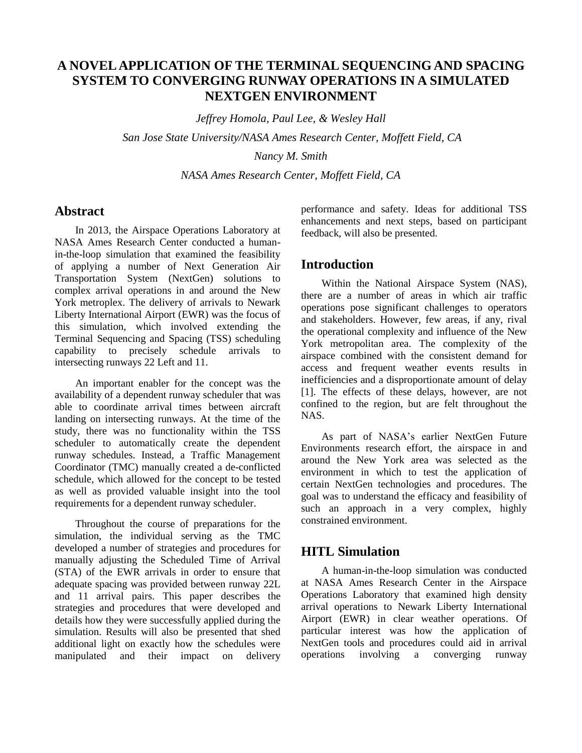# **A NOVEL APPLICATION OF THE TERMINAL SEQUENCING AND SPACING SYSTEM TO CONVERGING RUNWAY OPERATIONS IN A SIMULATED NEXTGEN ENVIRONMENT**

*Jeffrey Homola, Paul Lee, & Wesley Hall San Jose State University/NASA Ames Research Center, Moffett Field, CA Nancy M. Smith*

*NASA Ames Research Center, Moffett Field, CA*

## **Abstract**

In 2013, the Airspace Operations Laboratory at NASA Ames Research Center conducted a humanin-the-loop simulation that examined the feasibility of applying a number of Next Generation Air Transportation System (NextGen) solutions to complex arrival operations in and around the New York metroplex. The delivery of arrivals to Newark Liberty International Airport (EWR) was the focus of this simulation, which involved extending the Terminal Sequencing and Spacing (TSS) scheduling capability to precisely schedule arrivals to intersecting runways 22 Left and 11.

An important enabler for the concept was the availability of a dependent runway scheduler that was able to coordinate arrival times between aircraft landing on intersecting runways. At the time of the study, there was no functionality within the TSS scheduler to automatically create the dependent runway schedules. Instead, a Traffic Management Coordinator (TMC) manually created a de-conflicted schedule, which allowed for the concept to be tested as well as provided valuable insight into the tool requirements for a dependent runway scheduler.

Throughout the course of preparations for the simulation, the individual serving as the TMC developed a number of strategies and procedures for manually adjusting the Scheduled Time of Arrival (STA) of the EWR arrivals in order to ensure that adequate spacing was provided between runway 22L and 11 arrival pairs. This paper describes the strategies and procedures that were developed and details how they were successfully applied during the simulation. Results will also be presented that shed additional light on exactly how the schedules were manipulated and their impact on delivery performance and safety. Ideas for additional TSS enhancements and next steps, based on participant feedback, will also be presented.

## **Introduction**

Within the National Airspace System (NAS), there are a number of areas in which air traffic operations pose significant challenges to operators and stakeholders. However, few areas, if any, rival the operational complexity and influence of the New York metropolitan area. The complexity of the airspace combined with the consistent demand for access and frequent weather events results in inefficiencies and a disproportionate amount of delay [1]. The effects of these delays, however, are not confined to the region, but are felt throughout the NAS.

As part of NASA's earlier NextGen Future Environments research effort, the airspace in and around the New York area was selected as the environment in which to test the application of certain NextGen technologies and procedures. The goal was to understand the efficacy and feasibility of such an approach in a very complex, highly constrained environment.

## **HITL Simulation**

A human-in-the-loop simulation was conducted at NASA Ames Research Center in the Airspace Operations Laboratory that examined high density arrival operations to Newark Liberty International Airport (EWR) in clear weather operations. Of particular interest was how the application of NextGen tools and procedures could aid in arrival operations involving a converging runway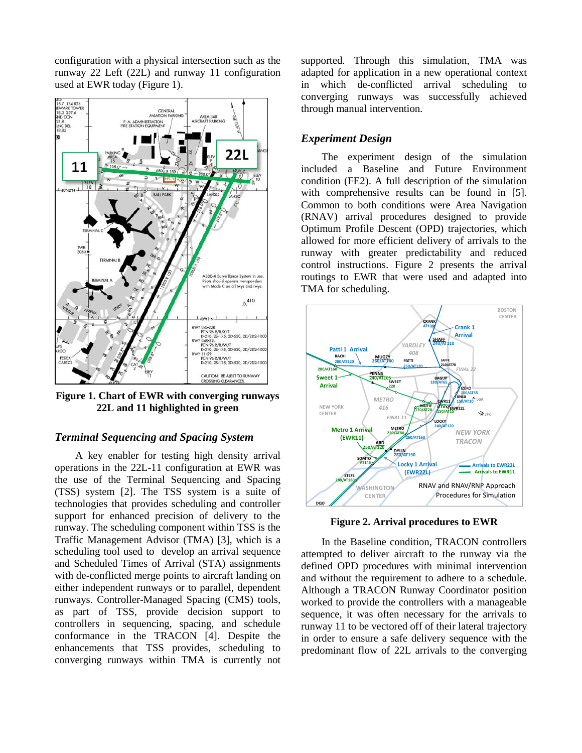configuration with a physical intersection such as the runway 22 Left (22L) and runway 11 configuration used at EWR today (Figure 1).



**Figure 1. Chart of EWR with converging runways 22L and 11 highlighted in green**

## *Terminal Sequencing and Spacing System*

A key enabler for testing high density arrival operations in the 22L-11 configuration at EWR was the use of the Terminal Sequencing and Spacing (TSS) system [2]. The TSS system is a suite of technologies that provides scheduling and controller support for enhanced precision of delivery to the runway. The scheduling component within TSS is the Traffic Management Advisor (TMA) [3], which is a scheduling tool used to develop an arrival sequence and Scheduled Times of Arrival (STA) assignments with de-conflicted merge points to aircraft landing on either independent runways or to parallel, dependent runways. Controller-Managed Spacing (CMS) tools, **12** as part of TSS, provide decision support to controllers in sequencing, spacing, and schedule conformance in the TRACON [4]. Despite the enhancements that TSS provides, scheduling to converging runways within TMA is currently not

supported. Through this simulation, TMA was adapted for application in a new operational context in which de-conflicted arrival scheduling to converging runways was successfully achieved through manual intervention.

#### *Experiment Design*

The experiment design of the simulation included a Baseline and Future Environment condition (FE2). A full description of the simulation with comprehensive results can be found in [5]. Common to both conditions were Area Navigation (RNAV) arrival procedures designed to provide Optimum Profile Descent (OPD) trajectories, which allowed for more efficient delivery of arrivals to the runway with greater predictability and reduced control instructions. Figure 2 presents the arrival routings to EWR that were used and adapted into TMA for scheduling.



**Figure 2. Arrival procedures to EWR** 

In the Baseline condition, TRACON controllers attempted to deliver aircraft to the runway via the defined OPD procedures with minimal intervention and without the requirement to adhere to a schedule. Although a TRACON Runway Coordinator position worked to provide the controllers with a manageable sequence, it was often necessary for the arrivals to runway 11 to be vectored off of their lateral trajectory in order to ensure a safe delivery sequence with the predominant flow of 22L arrivals to the converging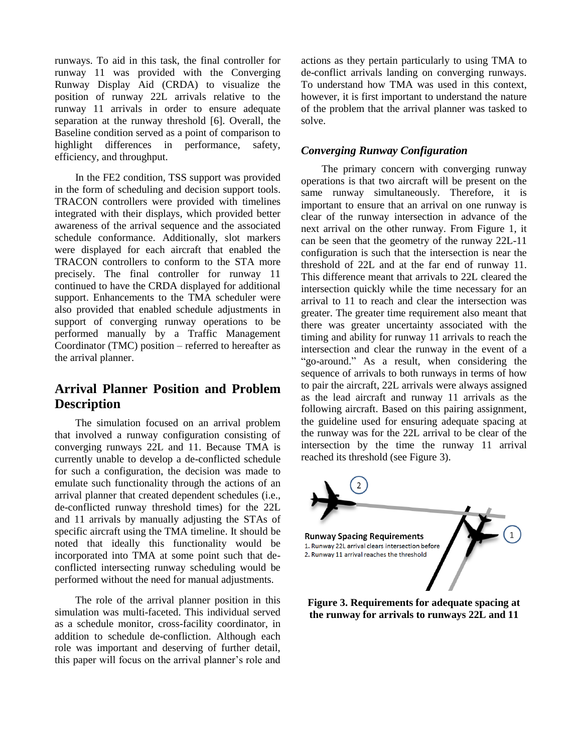runways. To aid in this task, the final controller for runway 11 was provided with the Converging Runway Display Aid (CRDA) to visualize the position of runway 22L arrivals relative to the runway 11 arrivals in order to ensure adequate separation at the runway threshold [6]. Overall, the Baseline condition served as a point of comparison to highlight differences in performance, safety, efficiency, and throughput.

In the FE2 condition, TSS support was provided in the form of scheduling and decision support tools. TRACON controllers were provided with timelines integrated with their displays, which provided better awareness of the arrival sequence and the associated schedule conformance. Additionally, slot markers were displayed for each aircraft that enabled the TRACON controllers to conform to the STA more precisely. The final controller for runway 11 continued to have the CRDA displayed for additional support. Enhancements to the TMA scheduler were also provided that enabled schedule adjustments in support of converging runway operations to be performed manually by a Traffic Management Coordinator (TMC) position – referred to hereafter as the arrival planner.

# **Arrival Planner Position and Problem Description**

The simulation focused on an arrival problem that involved a runway configuration consisting of converging runways 22L and 11. Because TMA is currently unable to develop a de-conflicted schedule for such a configuration, the decision was made to emulate such functionality through the actions of an arrival planner that created dependent schedules (i.e., de-conflicted runway threshold times) for the 22L and 11 arrivals by manually adjusting the STAs of specific aircraft using the TMA timeline. It should be noted that ideally this functionality would be incorporated into TMA at some point such that deconflicted intersecting runway scheduling would be performed without the need for manual adjustments.

The role of the arrival planner position in this simulation was multi-faceted. This individual served as a schedule monitor, cross-facility coordinator, in addition to schedule de-confliction. Although each role was important and deserving of further detail, this paper will focus on the arrival planner's role and actions as they pertain particularly to using TMA to de-conflict arrivals landing on converging runways. To understand how TMA was used in this context, however, it is first important to understand the nature of the problem that the arrival planner was tasked to solve.

## *Converging Runway Configuration*

The primary concern with converging runway operations is that two aircraft will be present on the same runway simultaneously. Therefore, it is important to ensure that an arrival on one runway is clear of the runway intersection in advance of the next arrival on the other runway. From Figure 1, it can be seen that the geometry of the runway 22L-11 configuration is such that the intersection is near the threshold of 22L and at the far end of runway 11. This difference meant that arrivals to 22L cleared the intersection quickly while the time necessary for an arrival to 11 to reach and clear the intersection was greater. The greater time requirement also meant that there was greater uncertainty associated with the timing and ability for runway 11 arrivals to reach the intersection and clear the runway in the event of a "go-around." As a result, when considering the sequence of arrivals to both runways in terms of how to pair the aircraft, 22L arrivals were always assigned as the lead aircraft and runway 11 arrivals as the following aircraft. Based on this pairing assignment, the guideline used for ensuring adequate spacing at the runway was for the 22L arrival to be clear of the intersection by the time the runway 11 arrival reached its threshold (see Figure 3).



**Figure 3. Requirements for adequate spacing at the runway for arrivals to runways 22L and 11**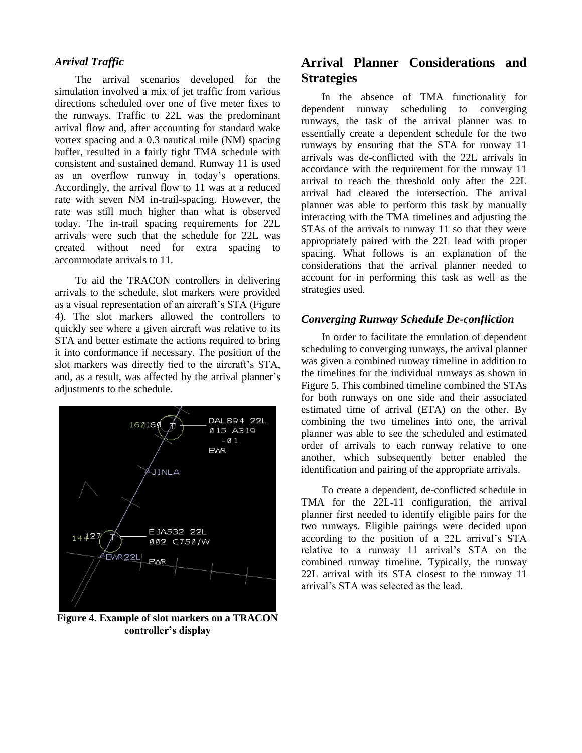## *Arrival Traffic*

The arrival scenarios developed for the simulation involved a mix of jet traffic from various directions scheduled over one of five meter fixes to the runways. Traffic to 22L was the predominant arrival flow and, after accounting for standard wake vortex spacing and a 0.3 nautical mile (NM) spacing buffer, resulted in a fairly tight TMA schedule with consistent and sustained demand. Runway 11 is used as an overflow runway in today's operations. Accordingly, the arrival flow to 11 was at a reduced rate with seven NM in-trail-spacing. However, the rate was still much higher than what is observed today. The in-trail spacing requirements for 22L arrivals were such that the schedule for 22L was created without need for extra spacing to accommodate arrivals to 11.

To aid the TRACON controllers in delivering arrivals to the schedule, slot markers were provided as a visual representation of an aircraft's STA (Figure 4). The slot markers allowed the controllers to quickly see where a given aircraft was relative to its STA and better estimate the actions required to bring it into conformance if necessary. The position of the slot markers was directly tied to the aircraft's STA, and, as a result, was affected by the arrival planner's adjustments to the schedule.



**Figure 4. Example of slot markers on a TRACON controller's display**

# **Arrival Planner Considerations and Strategies**

In the absence of TMA functionality for dependent runway scheduling to converging runways, the task of the arrival planner was to essentially create a dependent schedule for the two runways by ensuring that the STA for runway 11 arrivals was de-conflicted with the 22L arrivals in accordance with the requirement for the runway 11 arrival to reach the threshold only after the 22L arrival had cleared the intersection. The arrival planner was able to perform this task by manually interacting with the TMA timelines and adjusting the STAs of the arrivals to runway 11 so that they were appropriately paired with the 22L lead with proper spacing. What follows is an explanation of the considerations that the arrival planner needed to account for in performing this task as well as the strategies used.

### *Converging Runway Schedule De-confliction*

In order to facilitate the emulation of dependent scheduling to converging runways, the arrival planner was given a combined runway timeline in addition to the timelines for the individual runways as shown in Figure 5. This combined timeline combined the STAs for both runways on one side and their associated estimated time of arrival (ETA) on the other. By combining the two timelines into one, the arrival planner was able to see the scheduled and estimated order of arrivals to each runway relative to one another, which subsequently better enabled the identification and pairing of the appropriate arrivals.

To create a dependent, de-conflicted schedule in TMA for the 22L-11 configuration, the arrival planner first needed to identify eligible pairs for the two runways. Eligible pairings were decided upon according to the position of a 22L arrival's STA relative to a runway 11 arrival's STA on the combined runway timeline. Typically, the runway 22L arrival with its STA closest to the runway 11 arrival's STA was selected as the lead.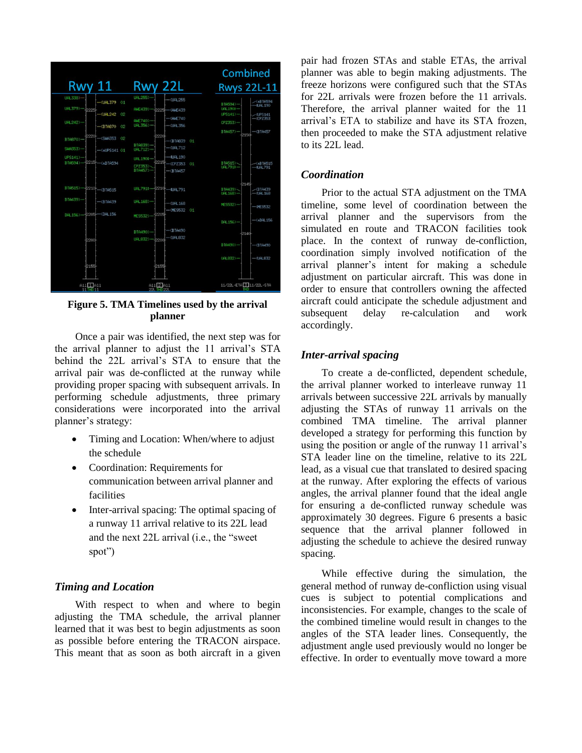

**Figure 5. TMA Timelines used by the arrival planner**

Once a pair was identified, the next step was for the arrival planner to adjust the 11 arrival's STA behind the 22L arrival's STA to ensure that the arrival pair was de-conflicted at the runway while providing proper spacing with subsequent arrivals. In performing schedule adjustments, three primary considerations were incorporated into the arrival planner's strategy:

- Timing and Location: When/where to adjust the schedule
- Coordination: Requirements for communication between arrival planner and facilities
- Inter-arrival spacing: The optimal spacing of a runway 11 arrival relative to its 22L lead and the next 22L arrival (i.e., the "sweet spot")

## *Timing and Location*

With respect to when and where to begin adjusting the TMA schedule, the arrival planner learned that it was best to begin adjustments as soon as possible before entering the TRACON airspace. This meant that as soon as both aircraft in a given pair had frozen STAs and stable ETAs, the arrival planner was able to begin making adjustments. The freeze horizons were configured such that the STAs for 22L arrivals were frozen before the 11 arrivals. Therefore, the arrival planner waited for the 11 arrival's ETA to stabilize and have its STA frozen, then proceeded to make the STA adjustment relative to its 22L lead.

## *Coordination*

Prior to the actual STA adjustment on the TMA timeline, some level of coordination between the arrival planner and the supervisors from the simulated en route and TRACON facilities took place. In the context of runway de-confliction, coordination simply involved notification of the arrival planner's intent for making a schedule adjustment on particular aircraft. This was done in order to ensure that controllers owning the affected aircraft could anticipate the schedule adjustment and subsequent delay re-calculation and work accordingly.

## *Inter-arrival spacing*

To create a de-conflicted, dependent schedule, the arrival planner worked to interleave runway 11 arrivals between successive 22L arrivals by manually adjusting the STAs of runway 11 arrivals on the combined TMA timeline. The arrival planner developed a strategy for performing this function by using the position or angle of the runway 11 arrival's STA leader line on the timeline, relative to its 22L lead, as a visual cue that translated to desired spacing at the runway. After exploring the effects of various angles, the arrival planner found that the ideal angle for ensuring a de-conflicted runway schedule was approximately 30 degrees. Figure 6 presents a basic sequence that the arrival planner followed in adjusting the schedule to achieve the desired runway spacing.

While effective during the simulation, the general method of runway de-confliction using visual cues is subject to potential complications and inconsistencies. For example, changes to the scale of the combined timeline would result in changes to the angles of the STA leader lines. Consequently, the adjustment angle used previously would no longer be effective. In order to eventually move toward a more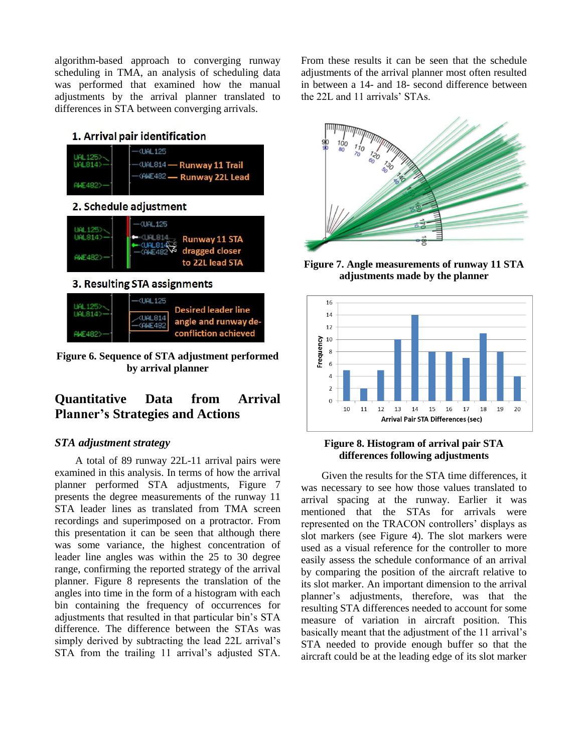algorithm-based approach to converging runway scheduling in TMA, an analysis of scheduling data was performed that examined how the manual adjustments by the arrival planner translated to differences in STA between converging arrivals.

## 1. Arrival pair identification



**Figure 6. Sequence of STA adjustment performed by arrival planner**

# **Quantitative Data from Arrival Planner's Strategies and Actions**

#### *STA adjustment strategy*

A total of 89 runway 22L-11 arrival pairs were examined in this analysis. In terms of how the arrival planner performed STA adjustments, Figure 7 presents the degree measurements of the runway 11 STA leader lines as translated from TMA screen recordings and superimposed on a protractor. From this presentation it can be seen that although there was some variance, the highest concentration of leader line angles was within the 25 to 30 degree range, confirming the reported strategy of the arrival planner. Figure 8 represents the translation of the angles into time in the form of a histogram with each bin containing the frequency of occurrences for adjustments that resulted in that particular bin's STA difference. The difference between the STAs was simply derived by subtracting the lead 22L arrival's STA from the trailing 11 arrival's adjusted STA.

From these results it can be seen that the schedule adjustments of the arrival planner most often resulted in between a 14- and 18- second difference between the 22L and 11 arrivals' STAs.



**Figure 7. Angle measurements of runway 11 STA adjustments made by the planner**



#### **Figure 8. Histogram of arrival pair STA differences following adjustments**

Given the results for the STA time differences, it was necessary to see how those values translated to arrival spacing at the runway. Earlier it was mentioned that the STAs for arrivals were represented on the TRACON controllers' displays as slot markers (see Figure 4). The slot markers were used as a visual reference for the controller to more easily assess the schedule conformance of an arrival by comparing the position of the aircraft relative to its slot marker. An important dimension to the arrival planner's adjustments, therefore, was that the resulting STA differences needed to account for some measure of variation in aircraft position. This basically meant that the adjustment of the 11 arrival's STA needed to provide enough buffer so that the aircraft could be at the leading edge of its slot marker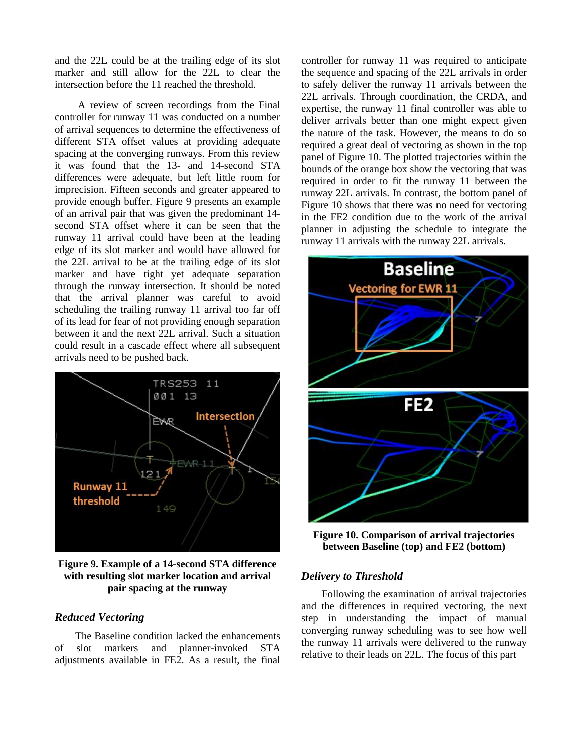and the 22L could be at the trailing edge of its slot marker and still allow for the 22L to clear the intersection before the 11 reached the threshold.

A review of screen recordings from the Final controller for runway 11 was conducted on a number of arrival sequences to determine the effectiveness of different STA offset values at providing adequate spacing at the converging runways. From this review it was found that the 13- and 14-second STA differences were adequate, but left little room for imprecision. Fifteen seconds and greater appeared to provide enough buffer. Figure 9 presents an example of an arrival pair that was given the predominant 14 second STA offset where it can be seen that the runway 11 arrival could have been at the leading edge of its slot marker and would have allowed for the 22L arrival to be at the trailing edge of its slot marker and have tight yet adequate separation through the runway intersection. It should be noted that the arrival planner was careful to avoid scheduling the trailing runway 11 arrival too far off of its lead for fear of not providing enough separation between it and the next 22L arrival. Such a situation could result in a cascade effect where all subsequent arrivals need to be pushed back.



**Figure 9. Example of a 14-second STA difference with resulting slot marker location and arrival pair spacing at the runway**

## *Reduced Vectoring*

The Baseline condition lacked the enhancements of slot markers and planner-invoked STA adjustments available in FE2. As a result, the final

controller for runway 11 was required to anticipate the sequence and spacing of the 22L arrivals in order to safely deliver the runway 11 arrivals between the 22L arrivals. Through coordination, the CRDA, and expertise, the runway 11 final controller was able to deliver arrivals better than one might expect given the nature of the task. However, the means to do so required a great deal of vectoring as shown in the top panel of Figure 10. The plotted trajectories within the bounds of the orange box show the vectoring that was required in order to fit the runway 11 between the runway 22L arrivals. In contrast, the bottom panel of Figure 10 shows that there was no need for vectoring in the FE2 condition due to the work of the arrival planner in adjusting the schedule to integrate the runway 11 arrivals with the runway 22L arrivals.



**Figure 10. Comparison of arrival trajectories between Baseline (top) and FE2 (bottom)**

## *Delivery to Threshold*

Following the examination of arrival trajectories and the differences in required vectoring, the next step in understanding the impact of manual converging runway scheduling was to see how well the runway 11 arrivals were delivered to the runway relative to their leads on 22L. The focus of this part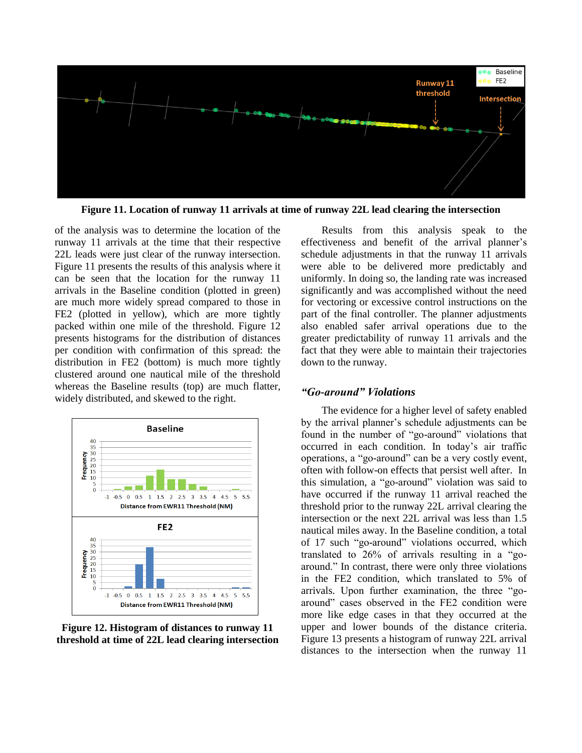

**Figure 11. Location of runway 11 arrivals at time of runway 22L lead clearing the intersection**

of the analysis was to determine the location of the runway 11 arrivals at the time that their respective 22L leads were just clear of the runway intersection. Figure 11 presents the results of this analysis where it can be seen that the location for the runway 11 arrivals in the Baseline condition (plotted in green) are much more widely spread compared to those in FE2 (plotted in yellow), which are more tightly packed within one mile of the threshold. Figure 12 presents histograms for the distribution of distances per condition with confirmation of this spread: the distribution in FE2 (bottom) is much more tightly clustered around one nautical mile of the threshold whereas the Baseline results (top) are much flatter, widely distributed, and skewed to the right.



**Figure 12. Histogram of distances to runway 11 threshold at time of 22L lead clearing intersection**

Results from this analysis speak to the effectiveness and benefit of the arrival planner's schedule adjustments in that the runway 11 arrivals were able to be delivered more predictably and uniformly. In doing so, the landing rate was increased significantly and was accomplished without the need for vectoring or excessive control instructions on the part of the final controller. The planner adjustments also enabled safer arrival operations due to the greater predictability of runway 11 arrivals and the fact that they were able to maintain their trajectories down to the runway.

## *"Go-around" Violations*

The evidence for a higher level of safety enabled by the arrival planner's schedule adjustments can be found in the number of "go-around" violations that occurred in each condition. In today's air traffic operations, a "go-around" can be a very costly event, often with follow-on effects that persist well after. In this simulation, a "go-around" violation was said to have occurred if the runway 11 arrival reached the threshold prior to the runway 22L arrival clearing the intersection or the next 22L arrival was less than 1.5 nautical miles away. In the Baseline condition, a total of 17 such "go-around" violations occurred, which translated to 26% of arrivals resulting in a "goaround." In contrast, there were only three violations in the FE2 condition, which translated to 5% of arrivals. Upon further examination, the three "goaround" cases observed in the FE2 condition were more like edge cases in that they occurred at the upper and lower bounds of the distance criteria. Figure 13 presents a histogram of runway 22L arrival distances to the intersection when the runway 11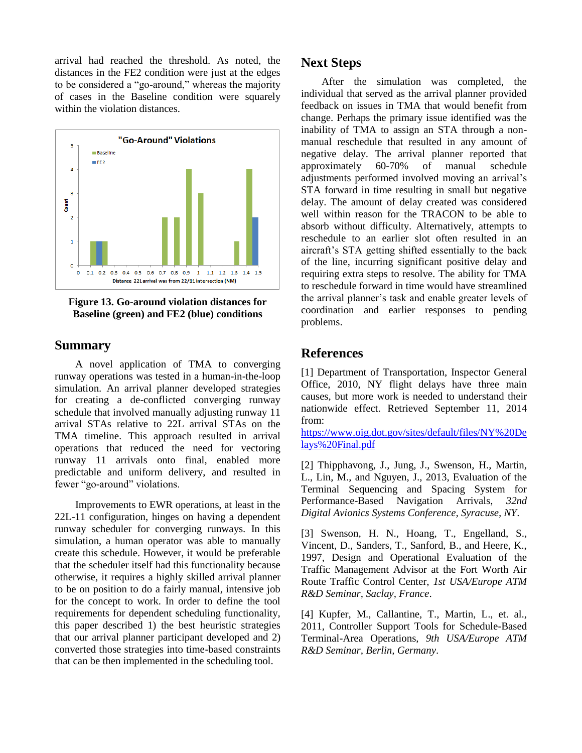arrival had reached the threshold. As noted, the distances in the FE2 condition were just at the edges to be considered a "go-around," whereas the majority of cases in the Baseline condition were squarely within the violation distances.



**Figure 13. Go-around violation distances for Baseline (green) and FE2 (blue) conditions**

## **Summary**

A novel application of TMA to converging runway operations was tested in a human-in-the-loop simulation. An arrival planner developed strategies for creating a de-conflicted converging runway schedule that involved manually adjusting runway 11 arrival STAs relative to 22L arrival STAs on the TMA timeline. This approach resulted in arrival operations that reduced the need for vectoring runway 11 arrivals onto final, enabled more predictable and uniform delivery, and resulted in fewer "go-around" violations.

Improvements to EWR operations, at least in the 22L-11 configuration, hinges on having a dependent runway scheduler for converging runways. In this simulation, a human operator was able to manually create this schedule. However, it would be preferable that the scheduler itself had this functionality because otherwise, it requires a highly skilled arrival planner to be on position to do a fairly manual, intensive job for the concept to work. In order to define the tool requirements for dependent scheduling functionality, this paper described 1) the best heuristic strategies that our arrival planner participant developed and 2) converted those strategies into time-based constraints that can be then implemented in the scheduling tool.

## **Next Steps**

After the simulation was completed, the individual that served as the arrival planner provided feedback on issues in TMA that would benefit from change. Perhaps the primary issue identified was the inability of TMA to assign an STA through a nonmanual reschedule that resulted in any amount of negative delay. The arrival planner reported that approximately 60-70% of manual schedule adjustments performed involved moving an arrival's STA forward in time resulting in small but negative delay. The amount of delay created was considered well within reason for the TRACON to be able to absorb without difficulty. Alternatively, attempts to reschedule to an earlier slot often resulted in an aircraft's STA getting shifted essentially to the back of the line, incurring significant positive delay and requiring extra steps to resolve. The ability for TMA to reschedule forward in time would have streamlined the arrival planner's task and enable greater levels of coordination and earlier responses to pending problems.

## **References**

[1] Department of Transportation, Inspector General Office, 2010, NY flight delays have three main causes, but more work is needed to understand their nationwide effect. Retrieved September 11, 2014 from:

[https://www.oig.dot.gov/sites/default/files/NY%20De](https://www.oig.dot.gov/sites/default/files/NY%20Delays%20Final.pdf) [lays%20Final.pdf](https://www.oig.dot.gov/sites/default/files/NY%20Delays%20Final.pdf)

[2] Thipphavong, J., Jung, J., Swenson, H., Martin, L., Lin, M., and Nguyen, J., 2013, Evaluation of the Terminal Sequencing and Spacing System for Performance-Based Navigation Arrivals, *32nd Digital Avionics Systems Conference, Syracuse, NY*.

[3] Swenson, H. N., Hoang, T., Engelland, S., Vincent, D., Sanders, T., Sanford, B., and Heere, K., 1997, Design and Operational Evaluation of the Traffic Management Advisor at the Fort Worth Air Route Traffic Control Center, *1st USA/Europe ATM R&D Seminar, Saclay, France*.

[4] Kupfer, M., Callantine, T., Martin, L., et. al., 2011, Controller Support Tools for Schedule-Based Terminal-Area Operations, *9th USA/Europe ATM R&D Seminar, Berlin, Germany*.